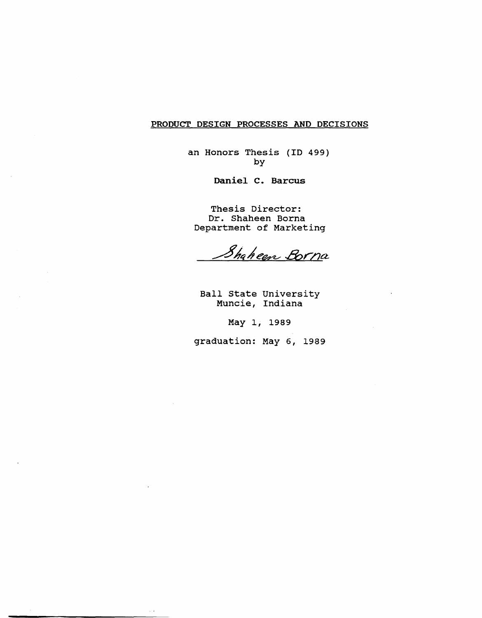## PRODUCT DESIGN PROCESSES AND DECISIONS

an Honors Thesis (ID 499) by

Daniel C. Barcus

Thesis Director: Dr. Shaheen Borna Department of Marketing

Shaheen Borna

Ball State University Muncie, Indiana

May 1, 1989

graduation: May 6, 1989

 $\sim$  .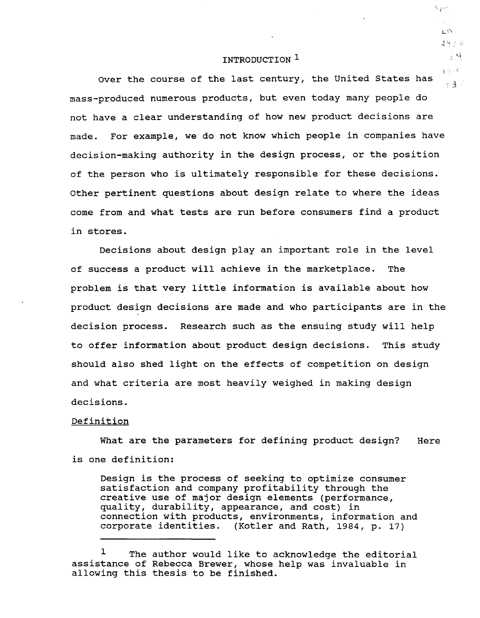## INTRODUCTION 1

Over the course of the last century, the united States has  $15.3 +$ mass-produced numerous products, but even today many people do not have a clear understanding of how new product decisions are made. For example, we do not know which people in companies have decision-making authority in the design process, or the position of the person who is ultimately responsible for these decisions. Other pertinent questions about design relate to where the ideas come from and what tests are run before consumers find a product in stores.

Decisions about design play an important role in the level of success a product will achieve in the marketplace. The problem is that very little information is available about how product design decisions are made and who participants are in the decision process. Research such as the ensuing study will help to offer information about product design decisions. This study should also shed light on the effects of competition on design and what criteria are most heavily weighed in making design decisions.

### Definition

What are the parameters for defining product design? is one definition: Here

Design is the process of seeking to optimize consumer satisfaction and company profitability through the creative use of major design elements (performance, quality, durability, appearance, and cost) in connection with products, environments, information and corporate identities. (Kotler and Rath, 1984, p. 17)

2430 군시  $3.5 - C$ 

Sen

 $L$ 

<sup>&</sup>lt;sup>1</sup> The author would like to acknowledge the editorial assistance of Rebecca Brewer, whose help was invaluable in allowing this thesis to be finished.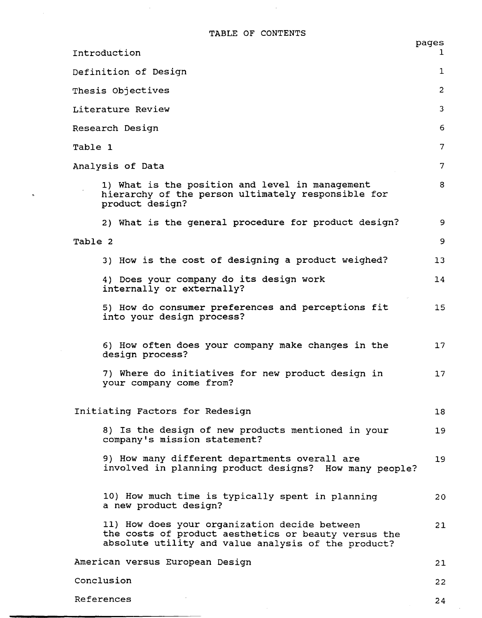TABLE OF CONTENTS

 $\sim$ 

 $\sim$ 

 $\sim$ 

 $\mathbf{S}^{\pm}$ 

|                                                                                                                                                              | pages           |  |
|--------------------------------------------------------------------------------------------------------------------------------------------------------------|-----------------|--|
| Introduction                                                                                                                                                 | ı.              |  |
| Definition of Design<br>ı                                                                                                                                    |                 |  |
| Thesis Objectives                                                                                                                                            | $\overline{2}$  |  |
| 3<br>Literature Review                                                                                                                                       |                 |  |
| Research Design<br>6.                                                                                                                                        |                 |  |
| Table 1                                                                                                                                                      | 7               |  |
| Analysis of Data                                                                                                                                             | 7               |  |
| 1) What is the position and level in management<br>hierarchy of the person ultimately responsible for<br>product design?                                     | 8               |  |
| 2) What is the general procedure for product design?                                                                                                         | 9               |  |
| Table 2                                                                                                                                                      | 9               |  |
| 3) How is the cost of designing a product weighed?                                                                                                           | 13              |  |
| 4) Does your company do its design work<br>internally or externally?                                                                                         | 14              |  |
| 5) How do consumer preferences and perceptions fit<br>into your design process?                                                                              | 15              |  |
| 6) How often does your company make changes in the<br>design process?                                                                                        | $17 \,$         |  |
| 7) Where do initiatives for new product design in<br>your company come from?                                                                                 | $17 \,$         |  |
| Initiating Factors for Redesign                                                                                                                              | 18 <sup>°</sup> |  |
| 8) Is the design of new products mentioned in your<br>company's mission statement?                                                                           | 19              |  |
| 9) How many different departments overall are<br>involved in planning product designs? How many people?                                                      | 19              |  |
| 10) How much time is typically spent in planning<br>a new product design?                                                                                    | 20              |  |
| 11) How does your organization decide between<br>the costs of product aesthetics or beauty versus the<br>absolute utility and value analysis of the product? | 21              |  |
| American versus European Design                                                                                                                              | 21              |  |
| Conclusion                                                                                                                                                   | 22              |  |
| References                                                                                                                                                   | 24              |  |

 $\hat{\mathcal{A}}$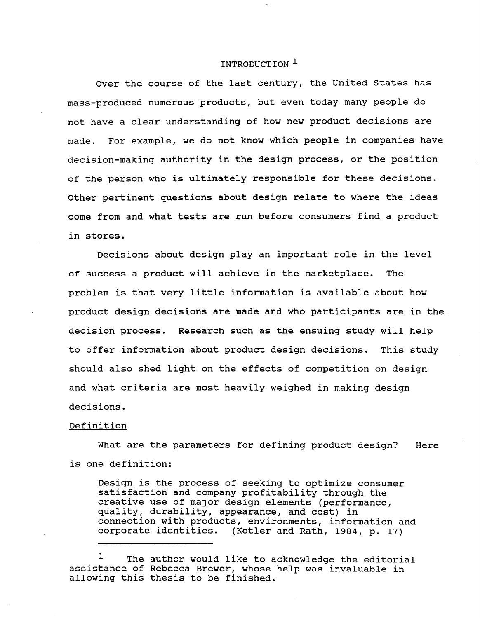## INTRODUCTION<sup>1</sup>

Over the course of the last century, the United states has mass-produced numerous products, but even today many people do not have a clear understanding of how new product decisions are made. For example, we do not know which people in companies have decision-making authority in the design process, or the position of the person who is ultimately responsible for these decisions. Other pertinent questions about design relate to where the ideas come from and what tests are run before consumers find a product in stores.

Decisions about design play an important role in the level of success a product will achieve in the marketplace. The problem is that very little information is available about how product design decisions are made and who participants are in the decision process. Research such as the ensuing study will help to offer information about product design decisions. This study should also shed light on the effects of competition on design and what criteria are most heavily weighed in making design decisions.

#### Definition

What are the parameters for defining product design? is one definition: Here

Design is the process of seeking to optimize consumer satisfaction and company profitability through the creative use of major design elements (performance, quality, durability, appearance, and cost) in connection with products, environments, information and corporate identities. (Kotler and Rath, 1984, p. 17)

The author would like to acknowledge the editorial assistance of Rebecca Brewer, whose help was invaluable in allowing this thesis to be finished.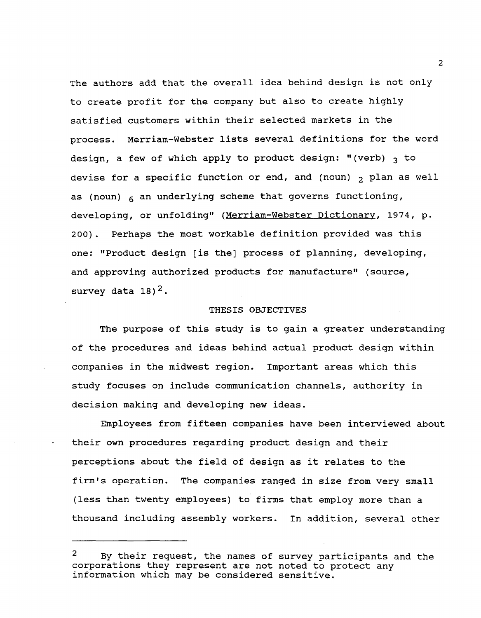The authors add that the overall idea behind design is not only to create profit for the company but also to create highly satisfied customers within their selected markets in the process. Merriam-Webster lists several definitions for the word design, a few of which apply to product design: "(verb)  $\alpha$  to devise for a specific function or end, and (noun)  $_2$  plan as well as (noun)  $6 \text{ and } 6 \text{ and } 6 \text{ and } 6 \text{ and } 6 \text{ and } 6 \text{ and } 6 \text{ and } 6 \text{ and } 6 \text{ and } 6 \text{ and } 6 \text{ and } 6 \text{ and } 6 \text{ and } 6 \text{ and } 6 \text{ and } 6 \text{ and } 6 \text{ and } 6 \text{ and } 6 \text{ and } 6 \text{ and } 6 \text{ and } 6 \text{ and } 6 \text{ and } 6 \text{ and } 6 \text{ and } 6 \text{ and } 6 \text{ and } 6 \text{ and } 6 \text{ and } 6 \text{ and }$ developing, or unfolding" (Merriam-Webster Dictionary, 1974, p. 200). Perhaps the most workable definition provided was this one: "Product design [is the] process of planning, developing, and approving authorized products for manufacture" (source, survey data  $18$ )<sup>2</sup>.

#### THESIS OBJECTIVES

The purpose of this study is to gain a greater understanding of the procedures and ideas behind actual product design within companies in the midwest region. Important areas which this study focuses on include communication channels, authority in decision making and developing new ideas.

Employees from fifteen companies have been interviewed about their own procedures regarding product design and their perceptions about the field of design as it relates to the firm's operation. The companies ranged in size from very small (less than twenty employees) to firms that employ more than a thousand including assembly workers. In addition, several other

 $\overline{2}$ 

<sup>&</sup>lt;sup>2</sup> By their request, the names of survey participants and the corporations they represent are not noted to protect any information which may be considered sensitive.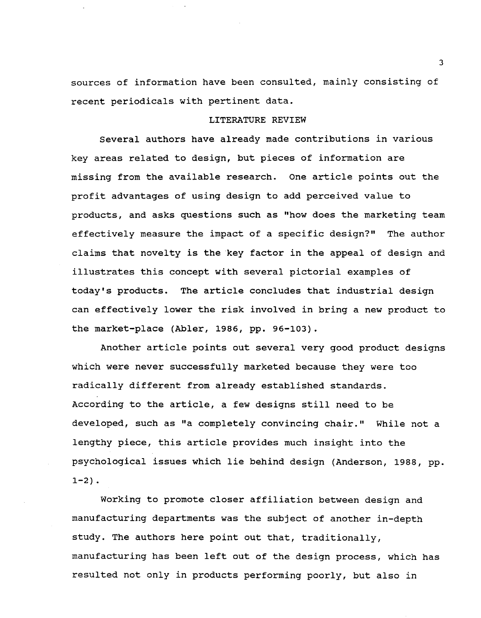sources of information have been consulted, mainly consisting of recent periodicals with pertinent data.

## LITERATURE REVIEW

Several authors have already made contributions in various key areas related to design, but pieces of information are missing from the available research. One article points out the profit advantages of using design to add perceived value to products, and asks questions such as "how does the marketing team effectively measure the impact of a specific design?" The author claims that novelty is the key factor in the appeal of design and illustrates this concept with several pictorial examples of today's products. The article concludes that industrial design can effectively lower the risk involved in bring a new product to the market-place (Abler, 1986, pp. 96-103).

Another article points out several very good product designs which were never successfully marketed because they were too radically different from already established standards. According to the article, a few designs still need to be developed, such as "a completely convincing chair." While not a lengthy piece, this article provides much insight into the psychological issues which lie behind design (Anderson, 1988, pp.  $1-2)$ .

Working to promote closer affiliation between design and manufacturing departments was the subject of another in-depth study. The authors here point out that, traditionally, manufacturing has been left out of the design process, which has resulted not only in products performing poorly, but also in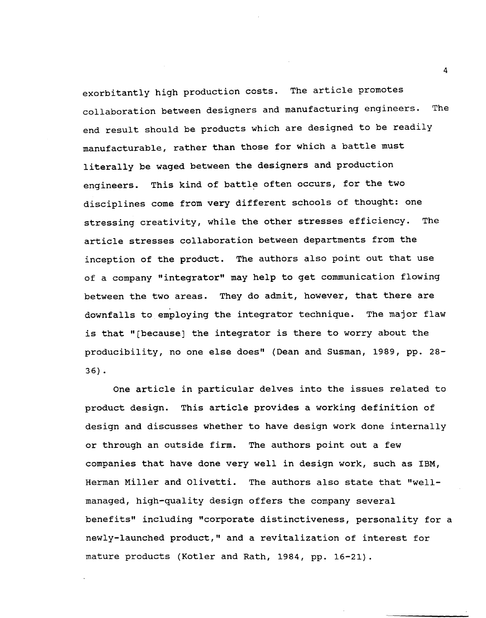exorbitantly high production costs. The article promotes collaboration between designers and manufacturing engineers. The end result should be products which are designed to be readily manufacturable, rather than those for which a battle must literally be waged between the designers and production engineers. This kind of battle often occurs, for the two disciplines come from very different schools of thought: one stressing creativity, while the other stresses efficiency. The article stresses collaboration between departments from the inception of the product. The authors also point out that use of a company "integrator" may help to get communication flowing between the two areas. They do admit, however, that there are downfalls to employing the integrator technique. The major flaw is that "[because] the integrator is there to worry about the producibility, no one else does" (Dean and Susman, 1989, pp. 28- 36) •

One article in particular delves into the issues related to product design. This article provides a working definition of design and discusses whether to have design work done internally or through an outside firm. The authors point out a few companies that have done very well in design work, such as IBM, Herman Miller and Olivetti. The authors also state that "wellmanaged, high-quality design offers the company several benefits" including "corporate distinctiveness, personality for a newly-launched product," and a revitalization of interest for mature products (Kotler and Rath, 1984, pp. 16-21).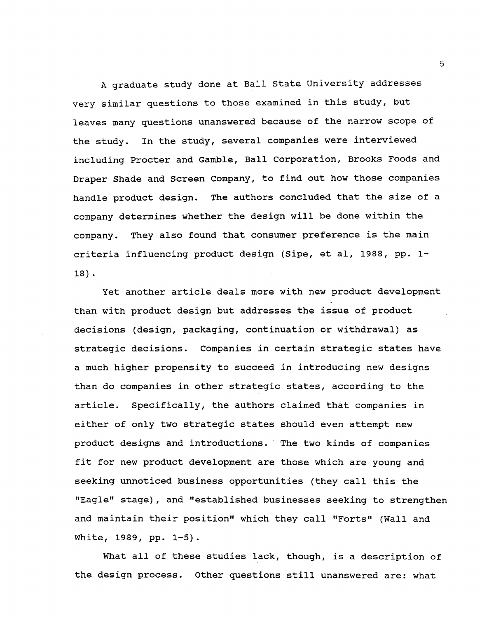A graduate study done at Ball state University addresses very similar questions to those examined in this study, but leaves many questions unanswered because of the narrow scope of the study. In the study, several companies were interviewed including Procter and Gamble, Ball corporation, Brooks Foods and Draper Shade and Screen Company, to find out how those companies handle product design. The authors concluded that the size of a company determines whether the design will be done within the company. They also found that consumer preference is the main criteria influencing product design (Sipe, et al, 1988, pp. 1- 18) .

Yet another article deals more with new product development than with product design but addresses the issue of product decisions (design, packaging, continuation or withdrawal) as strategic decisions. Companies in certain strategic states have a much higher propensity to succeed in introducing new designs than do companies in other strategic states, according to the article. Specifically, the authors claimed that companies in either of only two strategic states should even attempt new product designs and introductions. The two kinds of companies fit for new product development are those which are young and seeking unnoticed business opportunities (they call this the "Eagle" stage), and "established businesses seeking to strengthen and maintain their position" which they call "Forts" (Wall and white, 1989, pp. 1-5).

What all of these studies lack, though, is a description of the design process. other questions still unanswered are: what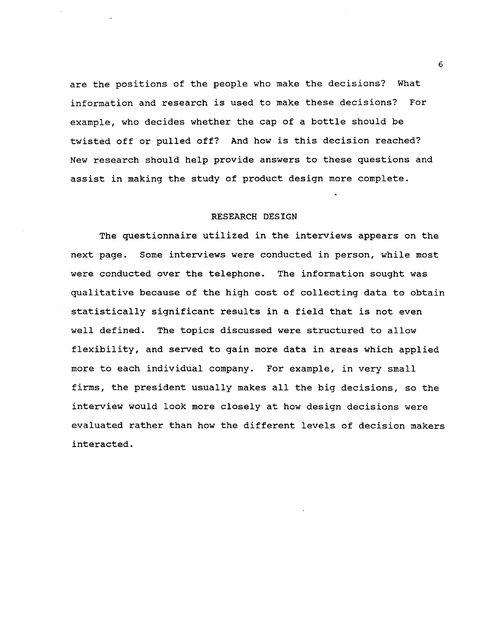are the positions of the people who make the decisions? What information and research is used to make these decisions? For example, who decides whether the cap of a bottle should be twisted off or pulled off? And how is this decision reached? New research should help provide answers to these questions and assist in making the study of product design more complete.

#### RESEARCH DESIGN

The questionnaire utilized in the interviews appears on the next page. Some interviews were conducted in person, while most were conducted over the telephone. The information sought was qualitative because of the high cost of collecting data to obtain statistically significant results in a field that is not even well defined. The topics discussed were structured to allow flexibility, and served to gain more data in areas which applied more to each individual company. For example, in very small firms, the president usually makes all the big decisions, so the interview would look more closely at how design decisions were evaluated rather than how the different levels of decision makers interacted.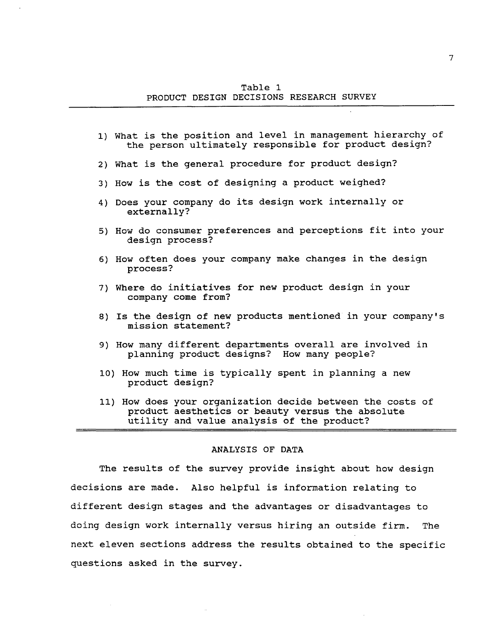Table 1 PRODUCT DESIGN DECISIONS RESEARCH SURVEY

- 1) What is the position and level in management hierarchy of the person ultimately responsible for product design?
- 2) What is the general procedure for product design?
- 3) How is the cost of designing a product weighed?
- 4) Does your company do its design work internally or externally?
- 5) How do consumer preferences and perceptions fit into your design process?
- 6) How often does your company make changes in the design process?
- 7) Where do initiatives for new product design in your company come from?
- 8) Is the design of new products mentioned in your company's mission statement?
- 9) How many different departments overall are involved in planning product designs? How many people?
- 10) How much time is typically spent in planning a new product design?
- 11) How does your organization decide between the costs of product aesthetics or beauty versus the absolute utility and value analysis of the product?

### ANALYSIS OF DATA

The results of the survey provide insight about how design decisions are made. Also helpful is information relating to different design stages and the advantages or disadvantages to doing design work internally versus hiring an outside firm. The next eleven sections address the results obtained to the specific questions asked in the survey.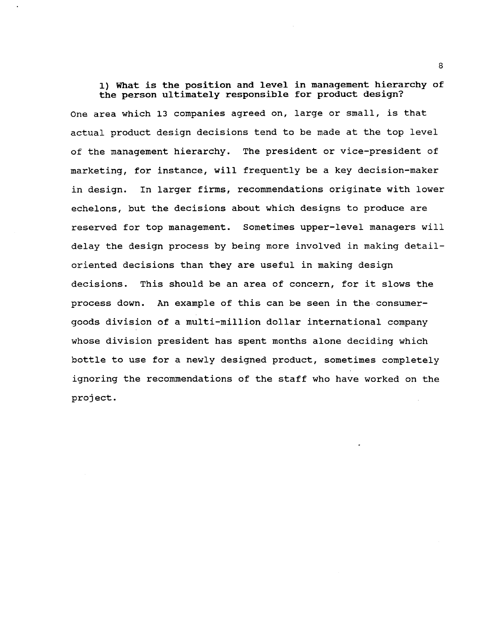1) What is the position and level in management hierarchy of the person ultimately responsible for product design?

One area which 13 companies agreed on, large or small, is that actual product design decisions tend to be made at the top level of the management hierarchy. The president or vice-president of marketing, for instance, will frequently be a key decision-maker in design. In larger firms, recommendations originate with lower echelons, but the decisions about which designs to produce are reserved for top management. sometimes upper-level managers will delay the design process by being more involved in making detailoriented decisions than they are useful in making design decisions. This should be an area of concern, for it slows the process down. An example of this can be seen in the consumergoods division of a multi-million dollar international company whose division president has spent months alone deciding which bottle to use for a newly designed product, sometimes completely ignoring the recommendations of the staff who have worked on the project.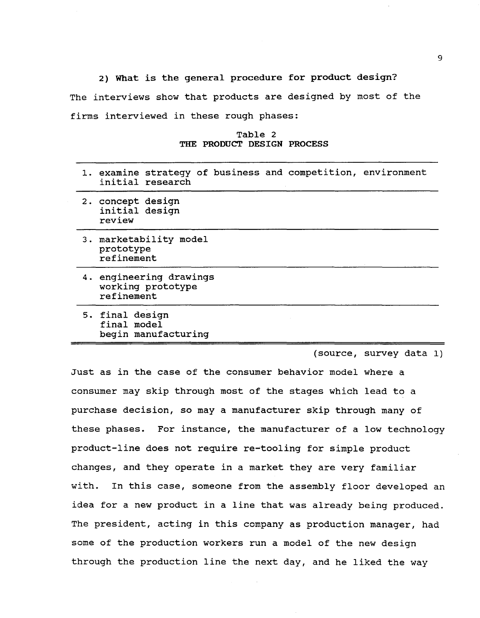2) What is the general procedure for product design? The interviews show that products are designed by most of the firms interviewed in these rough phases:

Table 2 THE PRODUCT DESIGN PROCESS

| 1. examine strategy of business and competition, environment<br>initial research |
|----------------------------------------------------------------------------------|
| 2. concept design<br>initial design<br>review                                    |
| 3. marketability model<br>prototype<br>refinement                                |
| 4. engineering drawings<br>working prototype<br>refinement                       |
| 5. final design<br>final model<br>begin manufacturing                            |

(source, survey data 1)

Just as in the case of the consumer behavior model where a consumer may skip through most of the stages which lead to a purchase decision, so may a manufacturer skip through many of these phases. For instance, the manufacturer of a low technology product-line does not require re~tooling for simple product changes, and they operate in a market they are very familiar with. In this case, someone from the assembly floor developed an idea for a new product in a line that was already being produced. The president, acting in this company as production manager, had some of the production workers run a model of the new design through the production line the next day, and he liked the way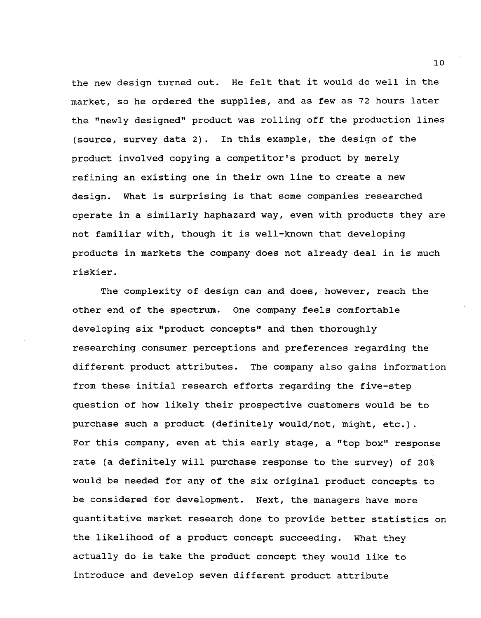the new design turned out. He felt that it would do well in the market, so he ordered the supplies, and as few as 72 hours later the "newly designed" product was rolling off the production lines (source, survey data 2). In this example, the design of the product involved copying a competitor's product by merely refining an existing one in their own line to create a new design. What is surprising is that some companies researched operate in a similarly haphazard way, even with products they are not familiar with, though it is well-known that developing products in markets the company does not already deal in is much riskier.

The complexity of design can and does, however, reach the other end of the spectrum. One company feels comfortable developing six "product concepts" and then thoroughly researching consumer perceptions and preferences regarding the different product attributes. The company also gains information from these initial research efforts regarding the five-step question of how likely their prospective customers would be to purchase such a product (definitely would/not, might, etc.). For this company, even at this early stage, a "top box" response rate (a definitely will purchase response to the survey) of 20% would be needed for any of the six original product concepts to be considered for development. Next, the managers have more quantitative market research done to provide better statistics on the likelihood of a product concept succeeding. What they actually do is take the product concept they would like to introduce and develop seven different product attribute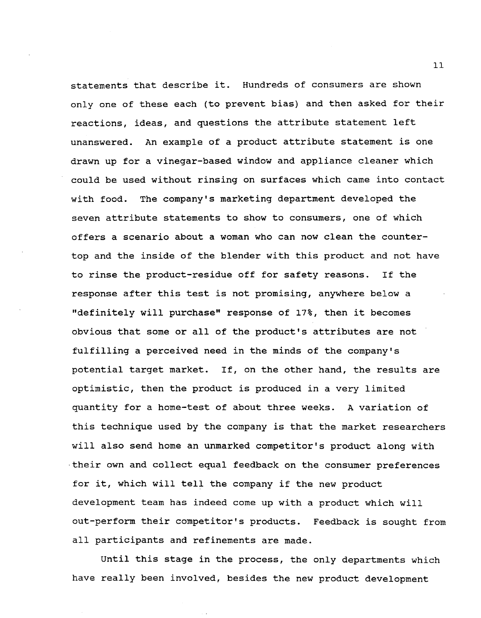statements that describe it. Hundreds of consumers are shown only one of these each (to prevent bias) and then asked for their reactions, ideas, and questions the attribute statement left unanswered. An example of a product attribute statement is one drawn up for a vinegar-based window and appliance cleaner which could be used without rinsing on surfaces which came into contact with food. The company's marketing department developed the seven attribute statements to show to consumers, one of which offers a scenario about a woman who can now clean the countertop and the inside of the blender with this product and not have to rinse the product-residue off for safety reasons. If the response after this test is not promising, anywhere below a "definitely will purchase" response of 17%, then it becomes obvious that some or all of the product's attributes are not fulfilling a perceived need in the minds of the company's potential target market. If, on the other hand, the results are optimistic, then the product is produced in a very limited quantity for a home-test of about three weeks. A variation of this technique used by the company is that the market researchers will also send home an unmarked competitor's product along with ·their own and collect equal feedback on the consumer preferences for it, which will tell the company if the new product development team has indeed come up with a product which will out-perform their competitor's products. Feedback is sought from all participants and refinements are made.

until this stage in the process, the only departments which have really been involved, besides the new product development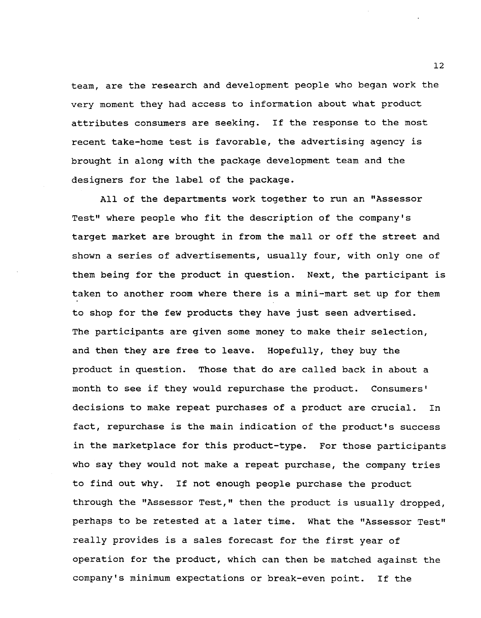team, are the research and development people who began work the very moment they had access to information about what product attributes consumers are seeking. If the response to the most recent take-home test is favorable, the advertising agency is brought in along with the package development team and the designers for the label of the package.

All of the departments work together to run an "Assessor Test" where people who fit the description of the company's target market are brought in from the mall or off the street and shown a series of advertisements, usually four, with only one of them being for the product in question. Next, the participant is taken to another room where there is a mini-mart set up for them to shop for the few products they have just seen advertised. The participants are given some money to make their selection, and then they are free to leave. Hopefully, they buy the product in question. Those that do are called back in about a month to see if they would repurchase the product. Consumers' decisions to make repeat purchases of a product are crucial. In fact, repurchase is the main indication of the product's success in the marketplace for this product-type. For those participants who say they would not make a repeat purchase, the company tries to find out why. If not enough people purchase the product through the "Assessor Test," then the product is usually dropped, perhaps to be retested at a later time. What the "Assessor Test" really provides is a sales forecast for the first year of operation for the product, which can then be matched against the company's minimum expectations or break-even point. If the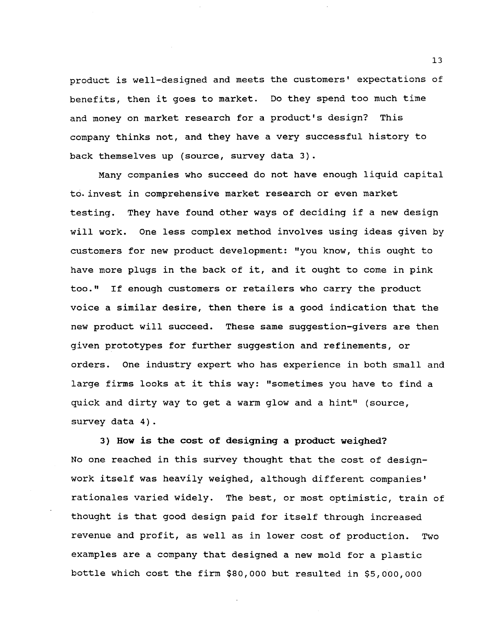product is well-designed and meets the customers' expectations of benefits, then it goes to market. Do they spend too much time and money on market research for a product's design? This company thinks not, and they have a very successful history to back themselves up (source, survey data 3).

Many companies who succeed do not have enough liquid capital to> invest in comprehensive market research or even market testing. They have found other ways of deciding if a new design will work. One less complex method involves using ideas given by customers for new product development: "you know, this ought to have more plugs in the back of it, and it ought to come in pink too." If enough customers or retailers who carry the product voice a similar desire, then there is a good indication that the new product will succeed. These same suggestion-givers are then given prototypes for further suggestion and refinements, or orders. One industry expert who has experience in both small and large firms looks at it this way: "sometimes you have to find a quick and dirty way to get a warm glow and a hint" (source, survey data 4).

3) How is the cost of designing a product weighed? No one reached in this survey thought that the cost of designwork itself was heavily weighed, although different companies' rationales varied widely. The best, or most optimistic, train of thought is that good design paid for itself through increased revenue and profit, as well as in lower cost of production. Two examples are a company that designed a new mold for a plastic bottle which cost the firm \$80,000 but resulted in \$5,000,000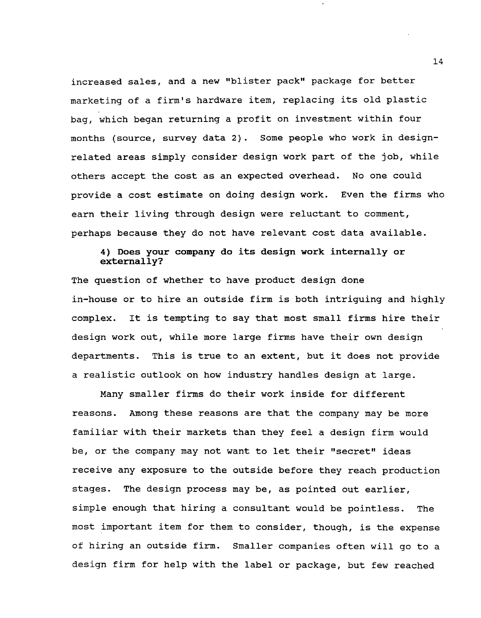increased sales, and a new "blister pack" package for better marketing of a firm's hardware item, replacing its old plastic bag, which began returning a profit on investment within four months (source, survey data 2). Some people who work in designrelated areas simply consider design work part of the job, while others accept the cost as an expected overhead. No one could provide a cost estimate on doing design work. Even the firms who earn their living through design were reluctant to comment, perhaps because they do not have relevant cost data available.

## 4) Does your company do its design work internally or externally?

The question of whether to have product design done in-house or to hire an outside firm is both intriguing and highly complex. It is tempting to say that most small firms hire their design work out, while more large firms have their own design departments. This is true to an extent, but it does not provide a realistic outlook on how industry handles design at large.

Many smaller firms do their work inside for different reasons. Among these reasons are that the company may be more familiar with their markets than they feel a design firm would be, or the company may not want to let their "secret" ideas receive any exposure to the outside before they reach production stages. The design process may be, as pointed out earlier, simple enough that hiring a consultant would be pointless. The most important item for them to consider, though, is the expense of hiring an outside firm. Smaller companies often will go to a design firm for help with the label or package, but few reached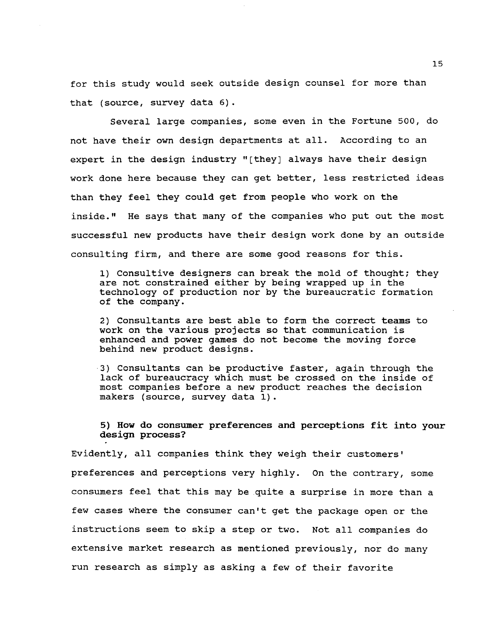for this study would seek outside design counsel for more than that (source, survey data 6).

Several large companies, some even in the Fortune 500, do not have their own design departments at all. According to an expert in the design industry "[they] always have their design work done here because they can get better, less restricted ideas than they feel they could get from people who work on the inside." He says that many of the companies who put out the most successful new products have their design work done by an outside consulting firm, and there are some good reasons for this.

1) Consultive designers can break the mold of thought; they are not constrained either by being wrapped up in the technology of production nor by the bureaucratic formation of the company.

2) Consultants are best able to form the correct teams to work on the various projects so that communication is enhanced and power games do not become the moving force behind new product designs.

3) Consultants can be productive faster, again through the lack of bureaucracy which must be crossed on the inside of most companies before a new product reaches the decision makers (source, survey data 1).

5) How do consumer preferences and perceptions fit into your design process?

Evidently, all companies think they weigh their customers' preferences and perceptions very highly. On the contrary, some consumers feel that this may be quite a surprise in more than a few cases where the consumer can't get the package open or the instructions seem to skip a step or two. Not all companies do extensive market research as mentioned previously, nor do many run research as simply as asking a few of their favorite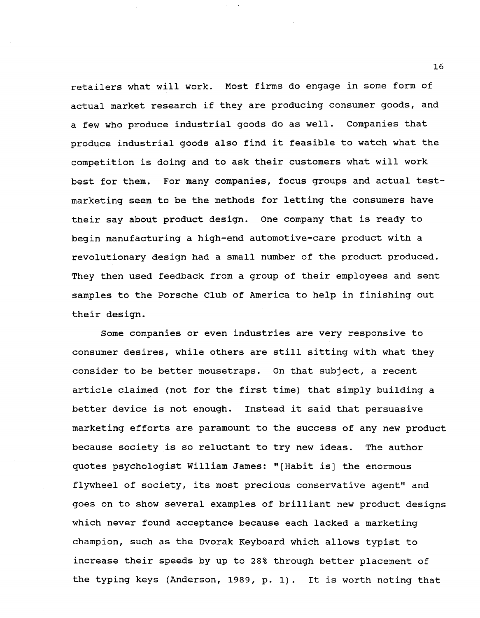retailers what will work. Most firms do engage in some form of actual market research if they are producing consumer goods, and a few who produce industrial goods do as well. Companies that produce industrial goods also find it feasible to watch what the competition is doing and to ask their customers what will work best for them. For many companies, focus groups and actual testmarketing seem to be the methods for letting the consumers have their say about product design. One company that is ready to begin manufacturing a high-end automotive-care product with a revolutionary design had a small number of the product produced. They then used feedback from a group of their employees and sent samples to the Porsche Club of America to help in finishing out their design.

Some companies or even industries are very responsive to consumer desires, while others are still sitting with what they consider to be better mousetraps. On that subject, a recent article claimed (not for the first time) that simply building a better device is not enough. Instead it said that persuasive marketing efforts are paramount to the success of any new product because society is so reluctant to try new ideas. The author quotes psychologist William James: "[Habit is] the enormous flywheel of society, its most precious conservative agent" and goes on to show several examples of brilliant new product designs which never found acceptance because each lacked a marketing champion, such as the Dvorak Keyboard which allows typist to increase their speeds by up to 28% through better placement of the typing keys (Anderson, 1989, p. 1). It is worth noting that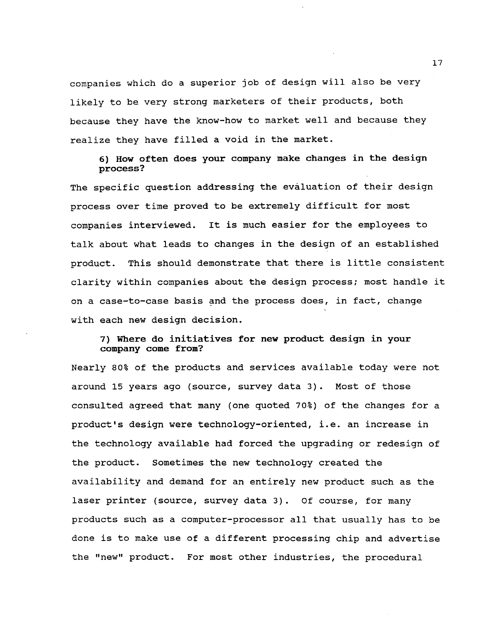companies which do a superior job of design will also be very likely to be very strong marketers of their products, both because they have the know-how to market well and because they realize they have filled a void in the market.

6) How often does your company make changes in the design process?

The specific question addressing the evaluation of their design process over time proved to be extremely difficult for most companies interviewed. It is much easier for the employees to talk about what leads to changes in the design of an established product. This should demonstrate that there is little consistent clarity within companies about the design process; most handle it on a case-to-case basis and the process does, in fact, change with each new design decision.

## 7) Where do initiatives for new product design in your company come from?

Nearly 80% of the products and services available today were not around 15 years ago (source, survey data 3). Most of those consulted agreed that many (one quoted 70%) of the changes for a product's design were technology-oriented, i.e. an increase in the technology available had forced the upgrading or redesign of the product. sometimes the new technology created the availability and demand for an entirely new product such as the laser printer (source, survey data 3). Of course, for many products such as a computer-processor all that usually has to be done is to make use of a different processing chip and advertise the "new" product. For most other industries, the procedural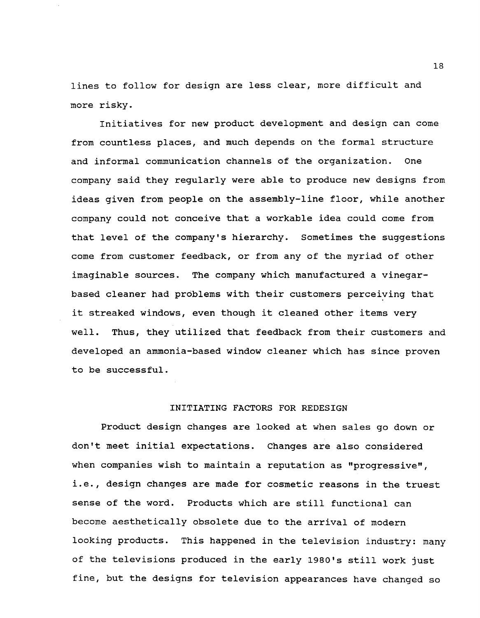lines to follow for design are less clear, more difficult and more risky.

Initiatives for new product development and design can come from countless places, and much depends on the formal structure and informal communication channels of the organization. One company said they regularly were able to produce new designs from ideas given from people on the assembly-line floor, while another company could not conceive that a workable idea could come from that level of the company's hierarchy. Sometimes the suggestions come from customer feedback, or from any of the myriad of other imaginable sources. The company which manufactured a vinegarbased cleaner had problems with their customers perceiving that it streaked windows, even though it cleaned other items very well. Thus, they utilized that feedback from their customers and developed an ammonia-based window cleaner which has since proven to be successful.

## INITIATING FACTORS FOR REDESIGN

Product design changes are looked at when sales go down or don't meet initial expectations. Changes are also considered when companies wish to maintain a reputation as "progressive", i.e., design changes are made for cosmetic reasons in the truest sense of the word. Products which are still functional can become aesthetically obsolete due to the arrival of modern looking products. This happened in the television industry: many of the televisions produced in the early 1980's still work just fine, but the designs for television appearances have changed so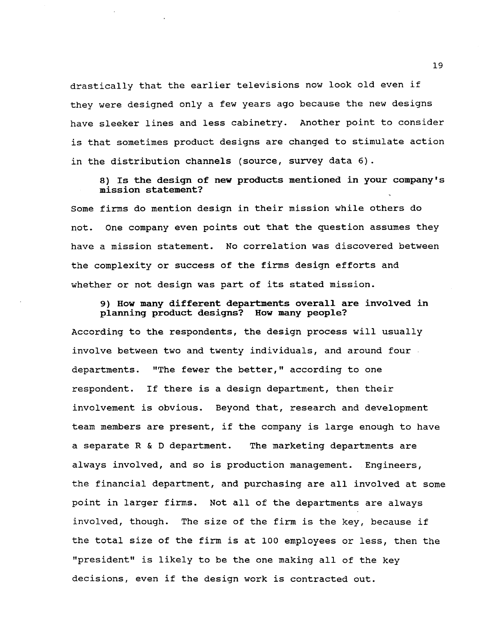drastically that the earlier televisions now look old even if they were designed only a few years ago because the new designs have sleeker lines and less cabinetry. Another point to consider is that sometimes product designs are changed to stimulate action in the distribution channels (source, survey data 6).

8) Is the design of new products mentioned in your company's mission statement?

Some firms do mention design in their mission while others do not. One company even points out that the question assumes they have a mission statement. No correlation was discovered between the complexity or success of the firms design efforts and whether or not design was part of its stated mission.

9) How many different departments overall are involved in planning product designs? How many people?

According to the respondents, the design process will usually involve between two and twenty individuals, and around four departments. "The fewer the better," according to one respondent. If there is a design department, then their involvement is obvious. Beyond that, research and development team members are present, if the company is large enough to have a separate R&D department. The marketing departments are always involved, and so is production management. Engineers, the financial department, and purchasing are all involved at some point in larger firms. Not all of the departments are always involved, though. The size of the firm is the key, because if the total size of the firm is at 100 employees or less, then the "president" is likely to be the one making all of the key decisions, even if the design work is contracted out.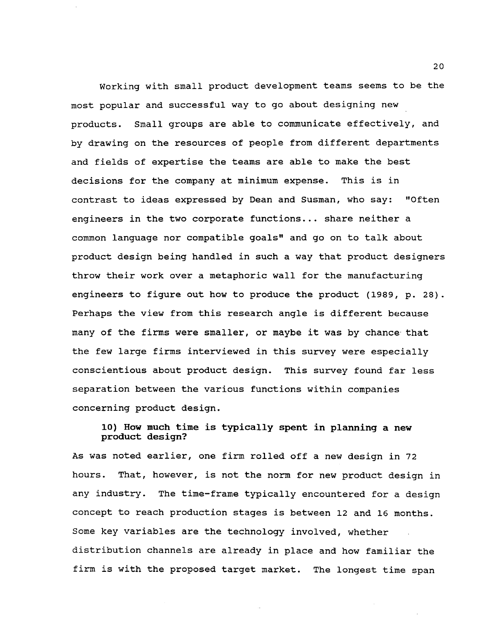Working with small product development teams seems to be the most popular and successful way to go about designing new products. Small groups are able to communicate effectively, and by drawing on the resources of people from different departments and fields of expertise the teams are able to make the best decisions for the company at minimum expense. This is in contrast to ideas expressed by Dean and Susman, who say: "Often engineers in the two corporate functions ... share neither a common language nor compatible goals" and go on to talk about product design being handled in such a way that product designers throw their work over a metaphoric wall for the manufacturing engineers to figure out how to produce the product (1989, p. 28). Perhaps the view from this research angle is different because many of the firms were smaller, or maybe it was by chance· that the few large firms interviewed in this survey were especially conscientious about product design. This survey found far less separation between the various functions within companies concerning product design.

# 10) How much time is typically spent in planning a new product design?

As was noted earlier, one firm rolled off a new design in 72 hours. That, however, is not the norm for new product design in any industry. The time-frame typically encountered for a design concept to reach production stages is between 12 and 16 months. Some key variables are the technology involved, whether distribution channels are already in place and how familiar the firm is with the proposed target market. The longest time span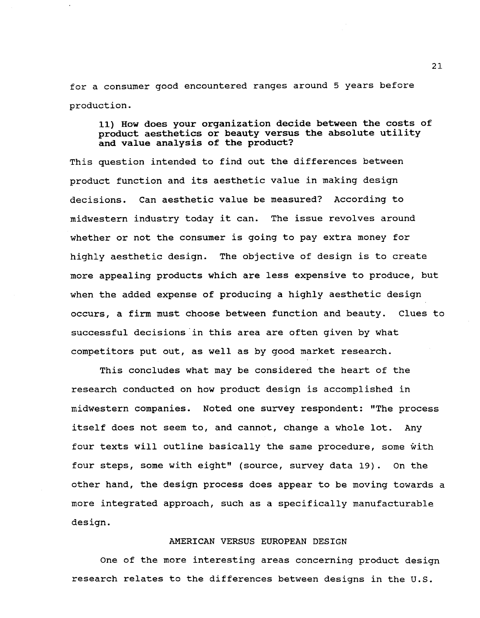for a consumer good encountered ranges around 5 years before production.

## 11) How does your organization decide between the costs of product aesthetics or beauty versus the absolute utility and value analysis of the product?

This question intended to find out the differences between product function and its aesthetic value in making design decisions. Can aesthetic value be measured? According to midwestern industry today it can. The issue revolves around whether or not the consumer is going to pay extra money for highly aesthetic design. The objective of design is to create more appealing products which are less expensive to produce, but when the added expense of producing a highly aesthetic design occurs, a firm must choose between function and beauty. Clues to successful decisions in this area are often given by what competitors put out, as well as by good market research.

This concludes what may be considered the heart of the research conducted on how product design is accomplished in midwestern companies. Noted one survey respondent: "The process itself does not seem to, and cannot, change a whole lot. Any four texts will outline basically the same procedure, some with four steps, some with eight" (source, survey data 19). On the other hand, the design process does appear to be moving towards a more integrated approach, such as a specifically manufacturable design.

#### AMERICAN VERSUS EUROPEAN DESIGN

One of the more interesting areas concerning product design research relates to the differences between designs in the U.S.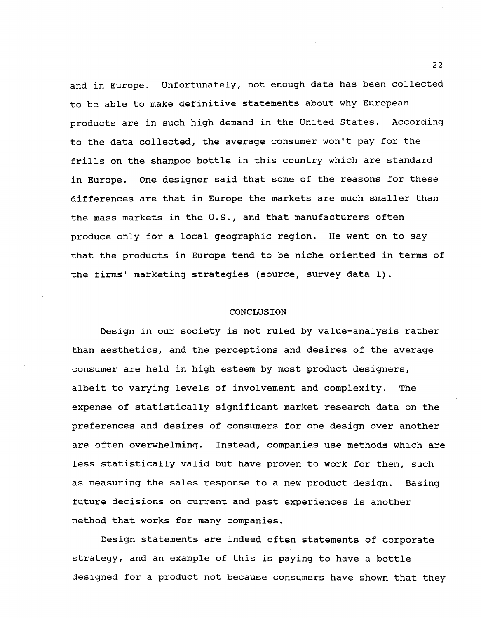and in Europe. Unfortunately, not enough data has been collected to be able to make definitive statements about why European products are in such high demand in the United states. According to the data collected, the average consumer won't pay for the frills on the shampoo bottle in this country which are standard in Europe. One designer said that some of the reasons for these differences are that in Europe the markets are much smaller than the mass markets in the U.S., and that manufacturers often produce only for a local geographic region. He went on to say that the products in Europe tend to be niche oriented in terms of the firms' marketing strategies (source, survey data 1).

#### **CONCLUSION**

Design in our society is not ruled by value-analysis rather than aesthetics, and the perceptions and desires of the average consumer are held in high esteem by most product designers, albeit to varying levels of involvement and complexity. The expense of statistically significant market research data on the preferences and desires of consumers for one design over another are often overwhelming. Instead, companies use methods which are less statistically valid but have proven to work for them, such as measuring the sales response to a new product design. Basing future decisions on current and past experiences is another method that works for many companies.

Design statements are indeed often statements of corporate strategy, and an example of this is paying to have a bottle designed for a product not because consumers have shown that they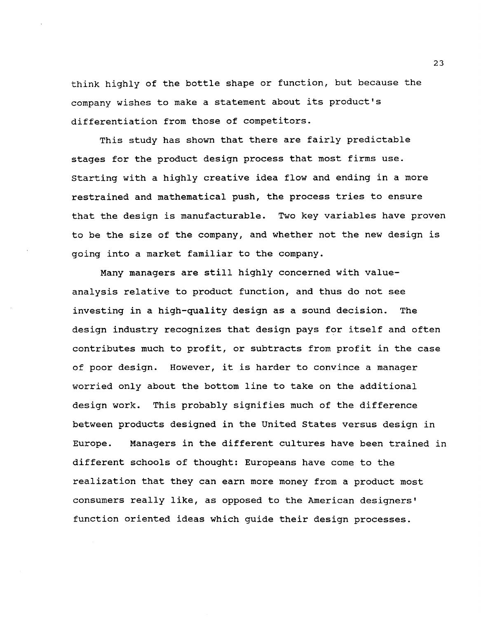think highly of the bottle shape or function, but because the company wishes to make a statement about its product's differentiation from those of competitors.

This study has shown that there are fairly predictable stages for the product design process that most firms use. starting with a highly creative idea flow and ending in a more restrained and mathematical push, the process tries to ensure that the design is manufacturable. Two key variables have proven to be the size of the company, and whether not the new design is going into a market familiar to the company.

Many managers are still highly concerned with valueanalysis relative to product function, and thus do not see investing in a high-quality design as a sound decision. The design industry recognizes that design pays for itself and often contributes much to profit, or subtracts from profit in the case of poor design. However, it is harder to convince a manager worried only about the bottom line to take on the additional design work. This probably signifies much of the difference between products designed in the united states versus design in Europe. Managers in the different cultures have been trained in different schools of thought: Europeans have come to the realization that they can earn more money from a product most consumers really like, as opposed to the American designers' function oriented ideas which guide their design processes.